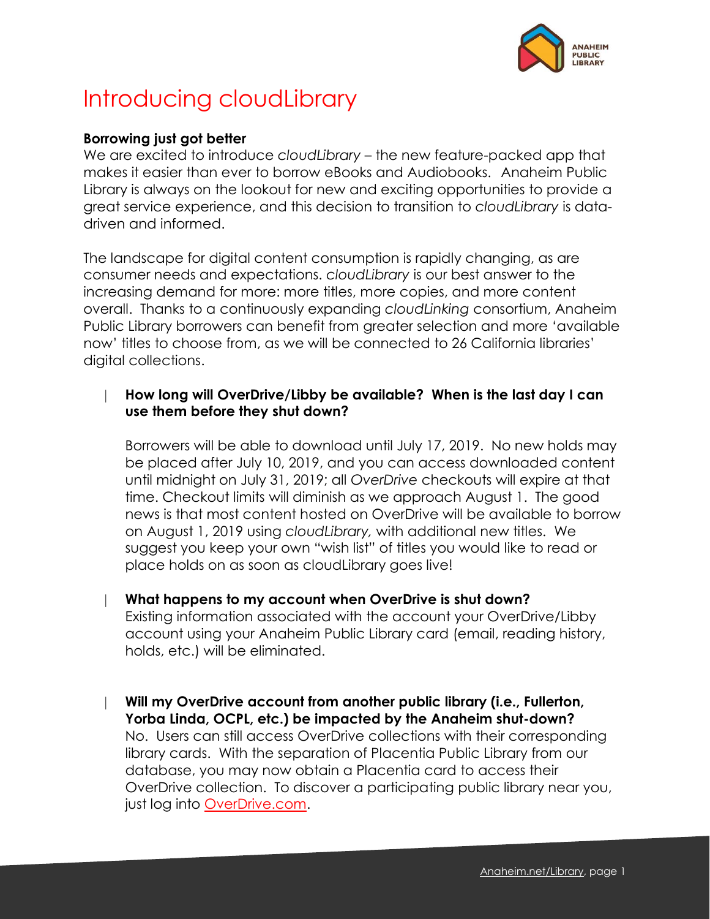

# Introducing cloudLibrary

## **Borrowing just got better**

We are excited to introduce *cloudLibrary* – the new feature-packed app that makes it easier than ever to borrow eBooks and Audiobooks. Anaheim Public Library is always on the lookout for new and exciting opportunities to provide a great service experience, and this decision to transition to *cloudLibrary* is datadriven and informed.

The landscape for digital content consumption is rapidly changing, as are consumer needs and expectations. *cloudLibrary* is our best answer to the increasing demand for more: more titles, more copies, and more content overall. Thanks to a continuously expanding *cloudLinking* consortium, Anaheim Public Library borrowers can benefit from greater selection and more 'available now' titles to choose from, as we will be connected to 26 California libraries' digital collections.

## **How long will OverDrive/Libby be available? When is the last day I can use them before they shut down?**

Borrowers will be able to download until July 17, 2019. No new holds may be placed after July 10, 2019, and you can access downloaded content until midnight on July 31, 2019; all *OverDrive* checkouts will expire at that time. Checkout limits will diminish as we approach August 1. The good news is that most content hosted on OverDrive will be available to borrow on August 1, 2019 using *cloudLibrary,* with additional new titles. We suggest you keep your own "wish list" of titles you would like to read or place holds on as soon as cloudLibrary goes live!

- **What happens to my account when OverDrive is shut down?** Existing information associated with the account your OverDrive/Libby account using your Anaheim Public Library card (email, reading history, holds, etc.) will be eliminated.
- **Will my OverDrive account from another public library (i.e., Fullerton, Yorba Linda, OCPL, etc.) be impacted by the Anaheim shut-down?** No. Users can still access OverDrive collections with their corresponding library cards. With the separation of Placentia Public Library from our database, you may now obtain a Placentia card to access their OverDrive collection. To discover a participating public library near you, just log into [OverDrive.com.](https://www.overdrive.com/)